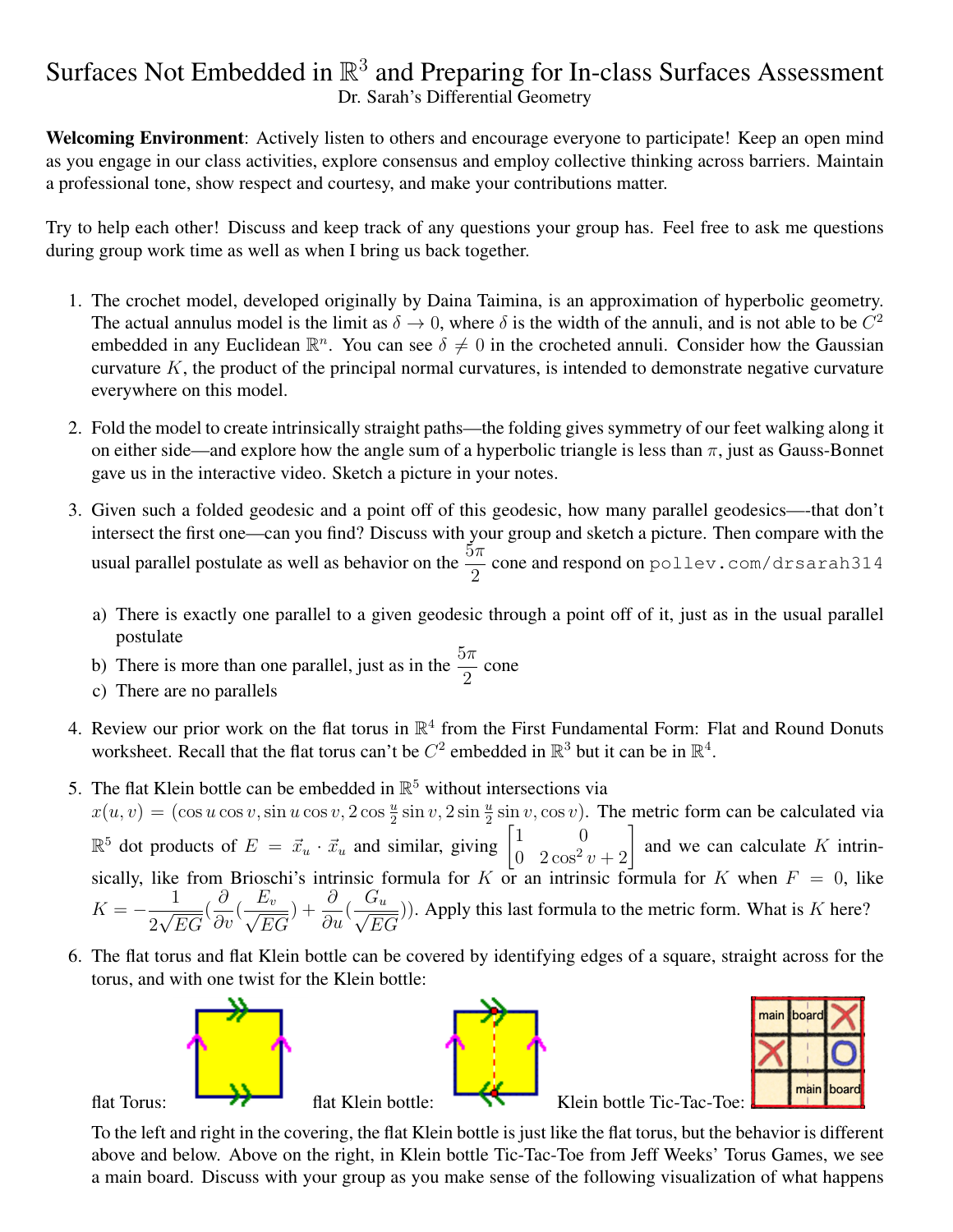## Surfaces Not Embedded in  $\mathbb{R}^3$  and Preparing for In-class Surfaces Assessment Dr. Sarah's Differential Geometry

Welcoming Environment: Actively listen to others and encourage everyone to participate! Keep an open mind as you engage in our class activities, explore consensus and employ collective thinking across barriers. Maintain a professional tone, show respect and courtesy, and make your contributions matter.

Try to help each other! Discuss and keep track of any questions your group has. Feel free to ask me questions during group work time as well as when I bring us back together.

- 1. The crochet model, developed originally by Daina Taimina, is an approximation of hyperbolic geometry. The actual annulus model is the limit as  $\delta \to 0$ , where  $\delta$  is the width of the annuli, and is not able to be  $C^2$ embedded in any Euclidean  $\mathbb{R}^n$ . You can see  $\delta \neq 0$  in the crocheted annuli. Consider how the Gaussian curvature  $K$ , the product of the principal normal curvatures, is intended to demonstrate negative curvature everywhere on this model.
- 2. Fold the model to create intrinsically straight paths—the folding gives symmetry of our feet walking along it on either side—and explore how the angle sum of a hyperbolic triangle is less than  $\pi$ , just as Gauss-Bonnet gave us in the interactive video. Sketch a picture in your notes.
- 3. Given such a folded geodesic and a point off of this geodesic, how many parallel geodesics—-that don't intersect the first one—can you find? Discuss with your group and sketch a picture. Then compare with the usual parallel postulate as well as behavior on the  $\frac{5\pi}{2}$  cone and respond on pollev.com/drsarah314
	- a) There is exactly one parallel to a given geodesic through a point off of it, just as in the usual parallel postulate
	- b) There is more than one parallel, just as in the  $\frac{5\pi}{2}$  cone
	- c) There are no parallels
- 4. Review our prior work on the flat torus in  $\mathbb{R}^4$  from the First Fundamental Form: Flat and Round Donuts worksheet. Recall that the flat torus can't be  $C^2$  embedded in  $\mathbb{R}^3$  but it can be in  $\mathbb{R}^4$ .
- 5. The flat Klein bottle can be embedded in  $\mathbb{R}^5$  without intersections via  $x(u, v) = (\cos u \cos v, \sin u \cos v, 2 \cos \frac{u}{2} \sin v, 2 \sin \frac{u}{2} \sin v, \cos v)$ . The metric form can be calculated via  $\mathbb{R}^5$  dot products of  $E = \vec{x}_u \cdot \vec{x}_u$  and similar, giving  $\begin{bmatrix} 1 & 0 \\ 0 & 2\cos^2 t \end{bmatrix}$  $\begin{bmatrix} 1 & 0 \\ 0 & 2\cos^2 v + 2 \end{bmatrix}$  and we can calculate K intrinsically, like from Brioschi's intrinsic formula for K or an intrinsic formula for K when  $F = 0$ , like  $K = -\frac{1}{\sqrt{2}}$ 2 √ EG ( ∂  $rac{\delta}{\partial v}$  (  $\frac{E_v}{\sqrt{2E_v}}$ EG ) +  $\frac{\partial}{\partial}$  $rac{\delta}{\partial u}$ (  $\frac{G_u}{G_u}$ EG )). Apply this last formula to the metric form. What is  $K$  here?
- 6. The flat torus and flat Klein bottle can be covered by identifying edges of a square, straight across for the torus, and with one twist for the Klein bottle:



To the left and right in the covering, the flat Klein bottle is just like the flat torus, but the behavior is different above and below. Above on the right, in Klein bottle Tic-Tac-Toe from Jeff Weeks' Torus Games, we see a main board. Discuss with your group as you make sense of the following visualization of what happens